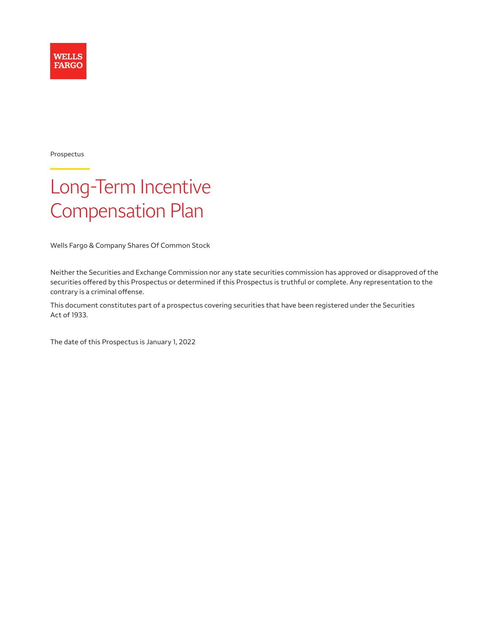

Prospectus

# Long-Term Incentive Compensation Plan

Wells Fargo & Company Shares Of Common Stock

Neither the Securities and Exchange Commission nor any state securities commission has approved or disapproved of the securities offered by this Prospectus or determined if this Prospectus is truthful or complete. Any representation to the contrary is a criminal offense.

This document constitutes part of a prospectus covering securities that have been registered under the Securities Act of 1933.

The date of this Prospectus is January 1, 2022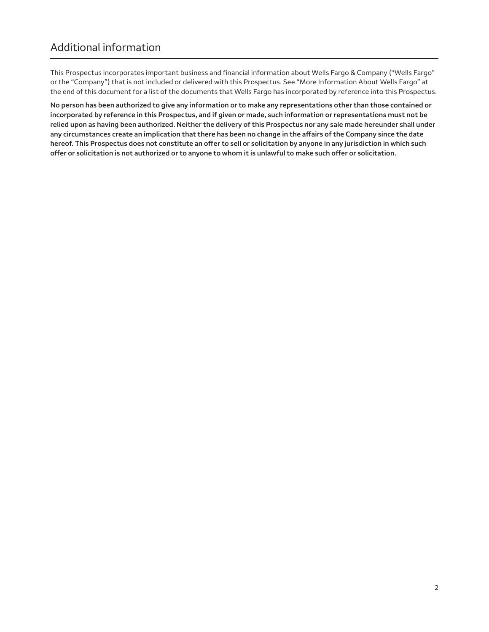This Prospectus incorporates important business and financial information about Wells Fargo & Company ("Wells Fargo" or the "Company") that is not included or delivered with this Prospectus. See "More Information About Wells Fargo" at the end of this document for a list of the documents that Wells Fargo has incorporated by reference into this Prospectus.

**No person has been authorized to give any information or to make any representations other than those contained or incorporated by reference in this Prospectus, and if given or made, such information or representations must not be relied upon as having been authorized. Neither the delivery of this Prospectus nor any sale made hereunder shall under any circumstances create an implication that there has been no change in the affairs of the Company since the date hereof. This Prospectus does not constitute an offer to sell or solicitation by anyone in any jurisdiction in which such offer or solicitation is not authorized or to anyone to whom it is unlawful to make such offer or solicitation.**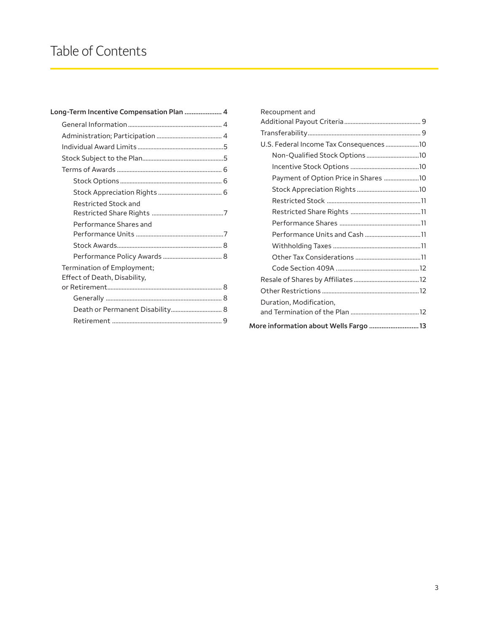| Long-Term Incentive Compensation Plan  4 |                                                            |  |
|------------------------------------------|------------------------------------------------------------|--|
|                                          |                                                            |  |
|                                          |                                                            |  |
|                                          |                                                            |  |
|                                          |                                                            |  |
|                                          |                                                            |  |
|                                          |                                                            |  |
|                                          |                                                            |  |
|                                          | <b>Restricted Stock and</b>                                |  |
|                                          | Performance Shares and                                     |  |
|                                          |                                                            |  |
|                                          |                                                            |  |
|                                          | Termination of Employment;<br>Effect of Death, Disability, |  |
|                                          |                                                            |  |
|                                          | Death or Permanent Disability 8                            |  |
|                                          |                                                            |  |
|                                          |                                                            |  |

| Recoupment and                          |  |  |
|-----------------------------------------|--|--|
|                                         |  |  |
|                                         |  |  |
| U.S. Federal Income Tax Consequences 10 |  |  |
| Non-Qualified Stock Options 10          |  |  |
|                                         |  |  |
| Payment of Option Price in Shares 10    |  |  |
|                                         |  |  |
|                                         |  |  |
|                                         |  |  |
|                                         |  |  |
|                                         |  |  |
|                                         |  |  |
|                                         |  |  |
|                                         |  |  |
|                                         |  |  |
|                                         |  |  |
| Duration, Modification,                 |  |  |
|                                         |  |  |
| More information about Wells Fargo  13  |  |  |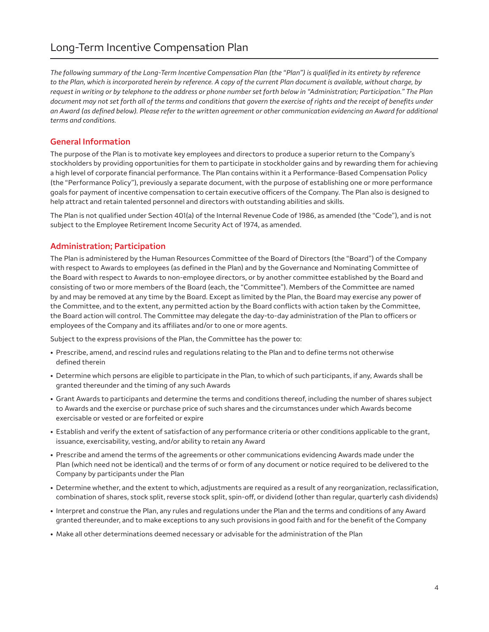# <span id="page-3-0"></span>Long-Term Incentive Compensation Plan

*The following summary of the Long-Term Incentive Compensation Plan (the "Plan") is qualified in its entirety by reference to the Plan, which is incorporated herein by reference. A copy of the current Plan document is available, without charge, by request in writing or by telephone to the address or phone number set forth below in "Administration; Participation." The Plan*  document may not set forth all of the terms and conditions that govern the exercise of rights and the receipt of benefits under *an Award (as defined below). Please refer to the written agreement or other communication evidencing an Award for additional terms and conditions.* 

# **General Information**

The purpose of the Plan is to motivate key employees and directors to produce a superior return to the Company's stockholders by providing opportunities for them to participate in stockholder gains and by rewarding them for achieving a high level of corporate financial performance. The Plan contains within it a Performance-Based Compensation Policy (the "Performance Policy"), previously a separate document, with the purpose of establishing one or more performance goals for payment of incentive compensation to certain executive officers of the Company. The Plan also is designed to help attract and retain talented personnel and directors with outstanding abilities and skills.

The Plan is not qualified under Section 401(a) of the Internal Revenue Code of 1986, as amended (the "Code"), and is not subject to the Employee Retirement Income Security Act of 1974, as amended.

#### **Administration; Participation**

The Plan is administered by the Human Resources Committee of the Board of Directors (the "Board") of the Company with respect to Awards to employees (as defined in the Plan) and by the Governance and Nominating Committee of the Board with respect to Awards to non-employee directors, or by another committee established by the Board and consisting of two or more members of the Board (each, the "Committee"). Members of the Committee are named by and may be removed at any time by the Board. Except as limited by the Plan, the Board may exercise any power of the Committee, and to the extent, any permitted action by the Board conflicts with action taken by the Committee, the Board action will control. The Committee may delegate the day-to-day administration of the Plan to officers or employees of the Company and its affiliates and/or to one or more agents.

Subject to the express provisions of the Plan, the Committee has the power to:

- Prescribe, amend, and rescind rules and regulations relating to the Plan and to define terms not otherwise defined therein
- Determine which persons are eligible to participate in the Plan, to which of such participants, if any, Awards shall be granted thereunder and the timing of any such Awards
- Grant Awards to participants and determine the terms and conditions thereof, including the number of shares subject to Awards and the exercise or purchase price of such shares and the circumstances under which Awards become exercisable or vested or are forfeited or expire
- Establish and verify the extent of satisfaction of any performance criteria or other conditions applicable to the grant, issuance, exercisability, vesting, and/or ability to retain any Award
- Prescribe and amend the terms of the agreements or other communications evidencing Awards made under the Plan (which need not be identical) and the terms of or form of any document or notice required to be delivered to the Company by participants under the Plan
- Determine whether, and the extent to which, adjustments are required as a result of any reorganization, reclassification, combination of shares, stock split, reverse stock split, spin-off, or dividend (other than regular, quarterly cash dividends)
- Interpret and construe the Plan, any rules and regulations under the Plan and the terms and conditions of any Award granted thereunder, and to make exceptions to any such provisions in good faith and for the benefit of the Company
- Make all other determinations deemed necessary or advisable for the administration of the Plan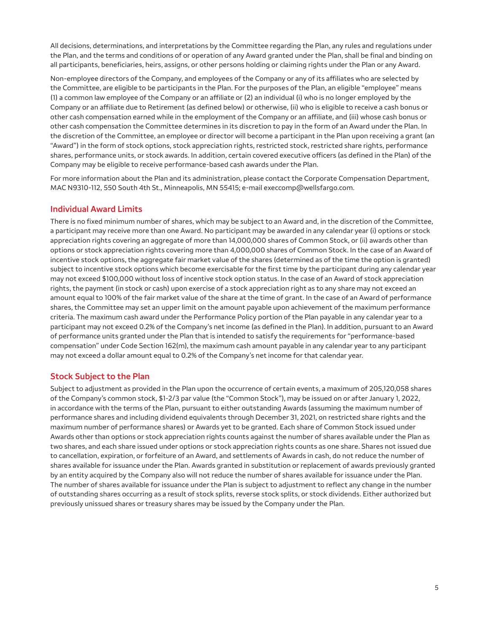All decisions, determinations, and interpretations by the Committee regarding the Plan, any rules and regulations under the Plan, and the terms and conditions of or operation of any Award granted under the Plan, shall be final and binding on all participants, beneficiaries, heirs, assigns, or other persons holding or claiming rights under the Plan or any Award.

Non-employee directors of the Company, and employees of the Company or any of its affiliates who are selected by the Committee, are eligible to be participants in the Plan. For the purposes of the Plan, an eligible "employee" means (1) a common law employee of the Company or an affiliate or (2) an individual (i) who is no longer employed by the Company or an affiliate due to Retirement (as defined below) or otherwise, (ii) who is eligible to receive a cash bonus or other cash compensation earned while in the employment of the Company or an affiliate, and (iii) whose cash bonus or other cash compensation the Committee determines in its discretion to pay in the form of an Award under the Plan. In the discretion of the Committee, an employee or director will become a participant in the Plan upon receiving a grant (an "Award") in the form of stock options, stock appreciation rights, restricted stock, restricted share rights, performance shares, performance units, or stock awards. In addition, certain covered executive officers (as defined in the Plan) of the Company may be eligible to receive performance-based cash awards under the Plan.

For more information about the Plan and its administration, please contact the Corporate Compensation Department, MAC N9310-112, 550 South 4th St., Minneapolis, MN 55415; e-mail [execcomp@wellsfargo.com](mailto:execcomp@wellsfargo.com).

# **Individual Award Limits**

There is no fixed minimum number of shares, which may be subject to an Award and, in the discretion of the Committee, a participant may receive more than one Award. No participant may be awarded in any calendar year (i) options or stock appreciation rights covering an aggregate of more than 14,000,000 shares of Common Stock, or (ii) awards other than options or stock appreciation rights covering more than 4,000,000 shares of Common Stock. In the case of an Award of incentive stock options, the aggregate fair market value of the shares (determined as of the time the option is granted) subject to incentive stock options which become exercisable for the first time by the participant during any calendar year may not exceed \$100,000 without loss of incentive stock option status. In the case of an Award of stock appreciation rights, the payment (in stock or cash) upon exercise of a stock appreciation right as to any share may not exceed an amount equal to 100% of the fair market value of the share at the time of grant. In the case of an Award of performance shares, the Committee may set an upper limit on the amount payable upon achievement of the maximum performance criteria. The maximum cash award under the Performance Policy portion of the Plan payable in any calendar year to a participant may not exceed 0.2% of the Company's net income (as defined in the Plan). In addition, pursuant to an Award of performance units granted under the Plan that is intended to satisfy the requirements for "performance-based compensation" under Code Section 162(m), the maximum cash amount payable in any calendar year to any participant may not exceed a dollar amount equal to 0.2% of the Company's net income for that calendar year.

# **Stock Subject to the Plan**

Subject to adjustment as provided in the Plan upon the occurrence of certain events, a maximum of 205,120,058 shares of the Company's common stock, \$1-2/3 par value (the "Common Stock"), may be issued on or after January 1, 2022, in accordance with the terms of the Plan, pursuant to either outstanding Awards (assuming the maximum number of performance shares and including dividend equivalents through December 31, 2021, on restricted share rights and the maximum number of performance shares) or Awards yet to be granted. Each share of Common Stock issued under Awards other than options or stock appreciation rights counts against the number of shares available under the Plan as two shares, and each share issued under options or stock appreciation rights counts as one share. Shares not issued due to cancellation, expiration, or forfeiture of an Award, and settlements of Awards in cash, do not reduce the number of shares available for issuance under the Plan. Awards granted in substitution or replacement of awards previously granted by an entity acquired by the Company also will not reduce the number of shares available for issuance under the Plan. The number of shares available for issuance under the Plan is subject to adjustment to reflect any change in the number of outstanding shares occurring as a result of stock splits, reverse stock splits, or stock dividends. Either authorized but previously unissued shares or treasury shares may be issued by the Company under the Plan.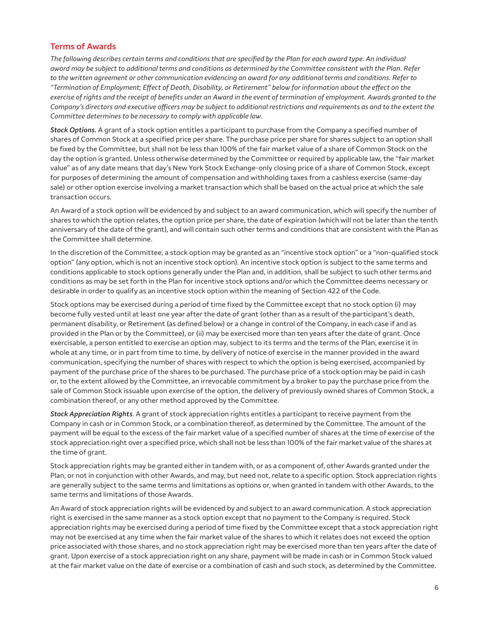#### **Terms of Awards**

*The following describes certain terms and conditions that are specified by the Plan for each award type. An individual award may be subject to additional terms and conditions as determined by the Committee consistent with the Plan. Refer to the written agreement or other communication evidencing an award for any additional terms and conditions. Refer to "Termination of Employment; Effect of Death, Disability, or Retirement" below for information about the effect on the exercise of rights and the receipt of benefits under an Award in the event of termination of employment. Awards granted to the Company's directors and executive officers may be subject to additional restrictions and requirements as and to the extent the Committee determines to be necessary to comply with applicable law.*

*Stock Options.* A grant of a stock option entitles a participant to purchase from the Company a specified number of shares of Common Stock at a specified price per share. The purchase price per share for shares subject to an option shall be fixed by the Committee, but shall not be less than 100% of the fair market value of a share of Common Stock on the day the option is granted. Unless otherwise determined by the Committee or required by applicable law, the "fair market value" as of any date means that day's New York Stock Exchange-only closing price of a share of Common Stock, except for purposes of determining the amount of compensation and withholding taxes from a cashless exercise (same-day sale) or other option exercise involving a market transaction which shall be based on the actual price at which the sale transaction occurs.

An Award of a stock option will be evidenced by and subject to an award communication, which will specify the number of shares to which the option relates, the option price per share, the date of expiration (which will not be later than the tenth anniversary of the date of the grant), and will contain such other terms and conditions that are consistent with the Plan as the Committee shall determine.

In the discretion of the Committee, a stock option may be granted as an "incentive stock option" or a "non-qualified stock option" (any option, which is not an incentive stock option). An incentive stock option is subject to the same terms and conditions applicable to stock options generally under the Plan and, in addition, shall be subject to such other terms and conditions as may be set forth in the Plan for incentive stock options and/or which the Committee deems necessary or desirable in order to qualify as an incentive stock option within the meaning of Section 422 of the Code.

Stock options may be exercised during a period of time fixed by the Committee except that no stock option (i) may become fully vested until at least one year after the date of grant (other than as a result of the participant's death, permanent disability, or Retirement (as defined below) or a change in control of the Company, in each case if and as provided in the Plan or by the Committee), or (ii) may be exercised more than ten years after the date of grant. Once exercisable, a person entitled to exercise an option may, subject to its terms and the terms of the Plan, exercise it in whole at any time, or in part from time to time, by delivery of notice of exercise in the manner provided in the award communication, specifying the number of shares with respect to which the option is being exercised, accompanied by payment of the purchase price of the shares to be purchased. The purchase price of a stock option may be paid in cash or, to the extent allowed by the Committee, an irrevocable commitment by a broker to pay the purchase price from the sale of Common Stock issuable upon exercise of the option, the delivery of previously owned shares of Common Stock, a combination thereof, or any other method approved by the Committee.

*Stock Appreciation Rights*. A grant of stock appreciation rights entitles a participant to receive payment from the Company in cash or in Common Stock, or a combination thereof, as determined by the Committee. The amount of the payment will be equal to the excess of the fair market value of a specified number of shares at the time of exercise of the stock appreciation right over a specified price, which shall not be less than 100% of the fair market value of the shares at the time of grant.

Stock appreciation rights may be granted either in tandem with, or as a component of, other Awards granted under the Plan, or not in conjunction with other Awards, and may, but need not, relate to a specific option. Stock appreciation rights are generally subject to the same terms and limitations as options or, when granted in tandem with other Awards, to the same terms and limitations of those Awards.

An Award of stock appreciation rights will be evidenced by and subject to an award communication. A stock appreciation right is exercised in the same manner as a stock option except that no payment to the Company is required. Stock appreciation rights may be exercised during a period of time fixed by the Committee except that a stock appreciation right may not be exercised at any time when the fair market value of the shares to which it relates does not exceed the option price associated with those shares, and no stock appreciation right may be exercised more than ten years after the date of grant. Upon exercise of a stock appreciation right on any share, payment will be made in cash or in Common Stock valued at the fair market value on the date of exercise or a combination of cash and such stock, as determined by the Committee.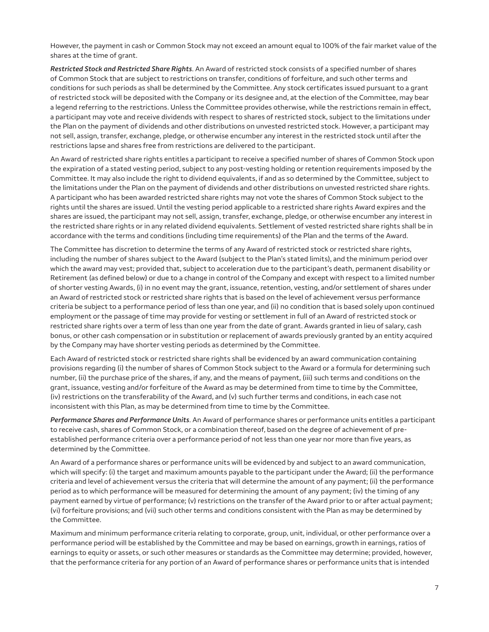However, the payment in cash or Common Stock may not exceed an amount equal to 100% of the fair market value of the shares at the time of grant.

*Restricted Stock and Restricted Share Rights*. An Award of restricted stock consists of a specified number of shares of Common Stock that are subject to restrictions on transfer, conditions of forfeiture, and such other terms and conditions for such periods as shall be determined by the Committee. Any stock certificates issued pursuant to a grant of restricted stock will be deposited with the Company or its designee and, at the election of the Committee, may bear a legend referring to the restrictions. Unless the Committee provides otherwise, while the restrictions remain in effect, a participant may vote and receive dividends with respect to shares of restricted stock, subject to the limitations under the Plan on the payment of dividends and other distributions on unvested restricted stock. However, a participant may not sell, assign, transfer, exchange, pledge, or otherwise encumber any interest in the restricted stock until after the restrictions lapse and shares free from restrictions are delivered to the participant.

An Award of restricted share rights entitles a participant to receive a specified number of shares of Common Stock upon the expiration of a stated vesting period, subject to any post-vesting holding or retention requirements imposed by the Committee. It may also include the right to dividend equivalents, if and as so determined by the Committee, subject to the limitations under the Plan on the payment of dividends and other distributions on unvested restricted share rights. A participant who has been awarded restricted share rights may not vote the shares of Common Stock subject to the rights until the shares are issued. Until the vesting period applicable to a restricted share rights Award expires and the shares are issued, the participant may not sell, assign, transfer, exchange, pledge, or otherwise encumber any interest in the restricted share rights or in any related dividend equivalents. Settlement of vested restricted share rights shall be in accordance with the terms and conditions (including time requirements) of the Plan and the terms of the Award.

The Committee has discretion to determine the terms of any Award of restricted stock or restricted share rights, including the number of shares subject to the Award (subject to the Plan's stated limits), and the minimum period over which the award may vest; provided that, subject to acceleration due to the participant's death, permanent disability or Retirement (as defined below) or due to a change in control of the Company and except with respect to a limited number of shorter vesting Awards, (i) in no event may the grant, issuance, retention, vesting, and/or settlement of shares under an Award of restricted stock or restricted share rights that is based on the level of achievement versus performance criteria be subject to a performance period of less than one year, and (ii) no condition that is based solely upon continued employment or the passage of time may provide for vesting or settlement in full of an Award of restricted stock or restricted share rights over a term of less than one year from the date of grant. Awards granted in lieu of salary, cash bonus, or other cash compensation or in substitution or replacement of awards previously granted by an entity acquired by the Company may have shorter vesting periods as determined by the Committee.

Each Award of restricted stock or restricted share rights shall be evidenced by an award communication containing provisions regarding (i) the number of shares of Common Stock subject to the Award or a formula for determining such number, (ii) the purchase price of the shares, if any, and the means of payment, (iii) such terms and conditions on the grant, issuance, vesting and/or forfeiture of the Award as may be determined from time to time by the Committee, (iv) restrictions on the transferability of the Award, and (v) such further terms and conditions, in each case not inconsistent with this Plan, as may be determined from time to time by the Committee.

*Performance Shares and Performance Units*. An Award of performance shares or performance units entitles a participant to receive cash, shares of Common Stock, or a combination thereof, based on the degree of achievement of preestablished performance criteria over a performance period of not less than one year nor more than five years, as determined by the Committee.

An Award of a performance shares or performance units will be evidenced by and subject to an award communication, which will specify: (i) the target and maximum amounts payable to the participant under the Award; (ii) the performance criteria and level of achievement versus the criteria that will determine the amount of any payment; (ii) the performance period as to which performance will be measured for determining the amount of any payment; (iv) the timing of any payment earned by virtue of performance; (v) restrictions on the transfer of the Award prior to or after actual payment; (vi) forfeiture provisions; and (vii) such other terms and conditions consistent with the Plan as may be determined by the Committee.

Maximum and minimum performance criteria relating to corporate, group, unit, individual, or other performance over a performance period will be established by the Committee and may be based on earnings, growth in earnings, ratios of earnings to equity or assets, or such other measures or standards as the Committee may determine; provided, however, that the performance criteria for any portion of an Award of performance shares or performance units that is intended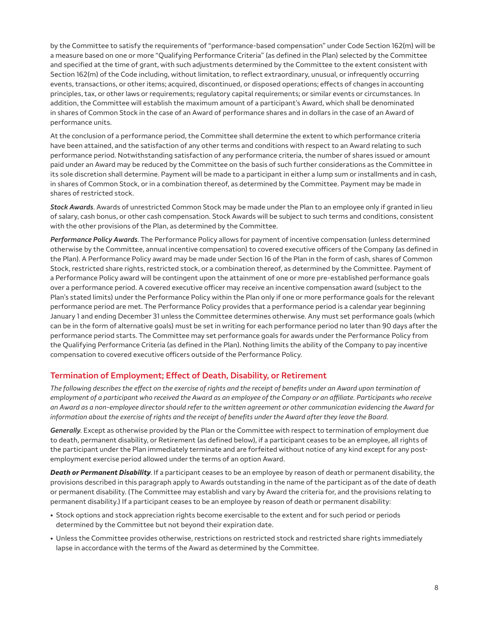by the Committee to satisfy the requirements of "performance-based compensation" under Code Section 162(m) will be a measure based on one or more "Qualifying Performance Criteria" (as defined in the Plan) selected by the Committee and specified at the time of grant, with such adjustments determined by the Committee to the extent consistent with Section 162(m) of the Code including, without limitation, to reflect extraordinary, unusual, or infrequently occurring events, transactions, or other items; acquired, discontinued, or disposed operations; effects of changes in accounting principles, tax, or other laws or requirements; regulatory capital requirements; or similar events or circumstances. In addition, the Committee will establish the maximum amount of a participant's Award, which shall be denominated in shares of Common Stock in the case of an Award of performance shares and in dollars in the case of an Award of performance units.

At the conclusion of a performance period, the Committee shall determine the extent to which performance criteria have been attained, and the satisfaction of any other terms and conditions with respect to an Award relating to such performance period. Notwithstanding satisfaction of any performance criteria, the number of shares issued or amount paid under an Award may be reduced by the Committee on the basis of such further considerations as the Committee in its sole discretion shall determine. Payment will be made to a participant in either a lump sum or installments and in cash, in shares of Common Stock, or in a combination thereof, as determined by the Committee. Payment may be made in shares of restricted stock.

*Stock Awards*. Awards of unrestricted Common Stock may be made under the Plan to an employee only if granted in lieu of salary, cash bonus, or other cash compensation. Stock Awards will be subject to such terms and conditions, consistent with the other provisions of the Plan, as determined by the Committee.

*Performance Policy Awards*. The Performance Policy allows for payment of incentive compensation (unless determined otherwise by the Committee, annual incentive compensation) to covered executive officers of the Company (as defined in the Plan). A Performance Policy award may be made under Section 16 of the Plan in the form of cash, shares of Common Stock, restricted share rights, restricted stock, or a combination thereof, as determined by the Committee. Payment of a Performance Policy award will be contingent upon the attainment of one or more pre-established performance goals over a performance period. A covered executive officer may receive an incentive compensation award (subject to the Plan's stated limits) under the Performance Policy within the Plan only if one or more performance goals for the relevant performance period are met. The Performance Policy provides that a performance period is a calendar year beginning January 1 and ending December 31 unless the Committee determines otherwise. Any must set performance goals (which can be in the form of alternative goals) must be set in writing for each performance period no later than 90 days after the performance period starts. The Committee may set performance goals for awards under the Performance Policy from the Qualifying Performance Criteria (as defined in the Plan). Nothing limits the ability of the Company to pay incentive compensation to covered executive officers outside of the Performance Policy.

# **Termination of Employment; Effect of Death, Disability, or Retirement**

*The following describes the effect on the exercise of rights and the receipt of benefits under an Award upon termination of employment of a participant who received the Award as an employee of the Company or an affiliate. Participants who receive an Award as a non-employee director should refer to the written agreement or other communication evidencing the Award for information about the exercise of rights and the receipt of benefits under the Award after they leave the Board.*

*Generally*. Except as otherwise provided by the Plan or the Committee with respect to termination of employment due to death, permanent disability, or Retirement (as defined below), if a participant ceases to be an employee, all rights of the participant under the Plan immediately terminate and are forfeited without notice of any kind except for any postemployment exercise period allowed under the terms of an option Award.

*Death or Permanent Disability*. If a participant ceases to be an employee by reason of death or permanent disability, the provisions described in this paragraph apply to Awards outstanding in the name of the participant as of the date of death or permanent disability. (The Committee may establish and vary by Award the criteria for, and the provisions relating to permanent disability.) If a participant ceases to be an employee by reason of death or permanent disability:

- Stock options and stock appreciation rights become exercisable to the extent and for such period or periods determined by the Committee but not beyond their expiration date.
- Unless the Committee provides otherwise, restrictions on restricted stock and restricted share rights immediately lapse in accordance with the terms of the Award as determined by the Committee.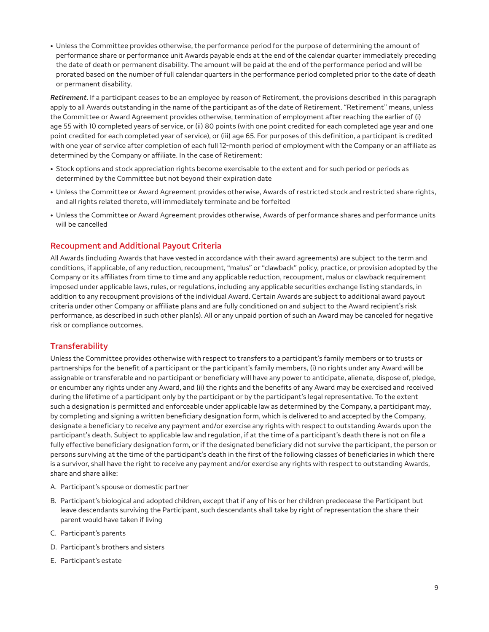<span id="page-8-0"></span>• Unless the Committee provides otherwise, the performance period for the purpose of determining the amount of performance share or performance unit Awards payable ends at the end of the calendar quarter immediately preceding the date of death or permanent disability. The amount will be paid at the end of the performance period and will be prorated based on the number of full calendar quarters in the performance period completed prior to the date of death or permanent disability.

*Retirement*. If a participant ceases to be an employee by reason of Retirement, the provisions described in this paragraph apply to all Awards outstanding in the name of the participant as of the date of Retirement. "Retirement" means, unless the Committee or Award Agreement provides otherwise, termination of employment after reaching the earlier of (i) age 55 with 10 completed years of service, or (ii) 80 points (with one point credited for each completed age year and one point credited for each completed year of service), or (iii) age 65. For purposes of this definition, a participant is credited with one year of service after completion of each full 12-month period of employment with the Company or an affiliate as determined by the Company or affiliate. In the case of Retirement:

- Stock options and stock appreciation rights become exercisable to the extent and for such period or periods as determined by the Committee but not beyond their expiration date
- Unless the Committee or Award Agreement provides otherwise, Awards of restricted stock and restricted share rights, and all rights related thereto, will immediately terminate and be forfeited
- Unless the Committee or Award Agreement provides otherwise, Awards of performance shares and performance units will be cancelled

# **Recoupment and Additional Payout Criteria**

All Awards (including Awards that have vested in accordance with their award agreements) are subject to the term and conditions, if applicable, of any reduction, recoupment, "malus" or "clawback" policy, practice, or provision adopted by the Company or its affiliates from time to time and any applicable reduction, recoupment, malus or clawback requirement imposed under applicable laws, rules, or regulations, including any applicable securities exchange listing standards, in addition to any recoupment provisions of the individual Award. Certain Awards are subject to additional award payout criteria under other Company or affiliate plans and are fully conditioned on and subject to the Award recipient's risk performance, as described in such other plan(s). All or any unpaid portion of such an Award may be canceled for negative risk or compliance outcomes.

#### **Transferability**

Unless the Committee provides otherwise with respect to transfers to a participant's family members or to trusts or partnerships for the benefit of a participant or the participant's family members, (i) no rights under any Award will be assignable or transferable and no participant or beneficiary will have any power to anticipate, alienate, dispose of, pledge, or encumber any rights under any Award, and (ii) the rights and the benefits of any Award may be exercised and received during the lifetime of a participant only by the participant or by the participant's legal representative. To the extent such a designation is permitted and enforceable under applicable law as determined by the Company, a participant may, by completing and signing a written beneficiary designation form, which is delivered to and accepted by the Company, designate a beneficiary to receive any payment and/or exercise any rights with respect to outstanding Awards upon the participant's death. Subject to applicable law and regulation, if at the time of a participant's death there is not on file a fully effective beneficiary designation form, or if the designated beneficiary did not survive the participant, the person or persons surviving at the time of the participant's death in the first of the following classes of beneficiaries in which there is a survivor, shall have the right to receive any payment and/or exercise any rights with respect to outstanding Awards, share and share alike:

- A. Participant's spouse or domestic partner
- B. Participant's biological and adopted children, except that if any of his or her children predecease the Participant but leave descendants surviving the Participant, such descendants shall take by right of representation the share their parent would have taken if living
- C. Participant's parents
- D. Participant's brothers and sisters
- E. Participant's estate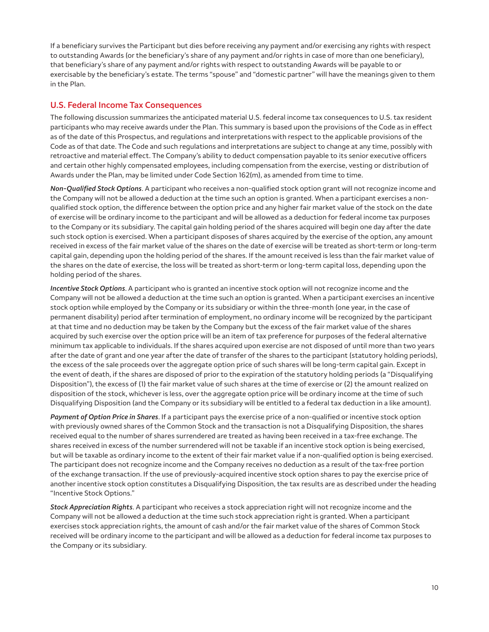<span id="page-9-0"></span>If a beneficiary survives the Participant but dies before receiving any payment and/or exercising any rights with respect to outstanding Awards (or the beneficiary's share of any payment and/or rights in case of more than one beneficiary), that beneficiary's share of any payment and/or rights with respect to outstanding Awards will be payable to or exercisable by the beneficiary's estate. The terms "spouse" and "domestic partner" will have the meanings given to them in the Plan.

# **U.S. Federal Income Tax Consequences**

The following discussion summarizes the anticipated material U.S. federal income tax consequences to U.S. tax resident participants who may receive awards under the Plan. This summary is based upon the provisions of the Code as in effect as of the date of this Prospectus, and regulations and interpretations with respect to the applicable provisions of the Code as of that date. The Code and such regulations and interpretations are subject to change at any time, possibly with retroactive and material effect. The Company's ability to deduct compensation payable to its senior executive officers and certain other highly compensated employees, including compensation from the exercise, vesting or distribution of Awards under the Plan, may be limited under Code Section 162(m), as amended from time to time.

*Non-Qualified Stock Options*. A participant who receives a non-qualified stock option grant will not recognize income and the Company will not be allowed a deduction at the time such an option is granted. When a participant exercises a nonqualified stock option, the difference between the option price and any higher fair market value of the stock on the date of exercise will be ordinary income to the participant and will be allowed as a deduction for federal income tax purposes to the Company or its subsidiary. The capital gain holding period of the shares acquired will begin one day after the date such stock option is exercised. When a participant disposes of shares acquired by the exercise of the option, any amount received in excess of the fair market value of the shares on the date of exercise will be treated as short-term or long-term capital gain, depending upon the holding period of the shares. If the amount received is less than the fair market value of the shares on the date of exercise, the loss will be treated as short-term or long-term capital loss, depending upon the holding period of the shares.

*Incentive Stock Options*. A participant who is granted an incentive stock option will not recognize income and the Company will not be allowed a deduction at the time such an option is granted. When a participant exercises an incentive stock option while employed by the Company or its subsidiary or within the three-month (one year, in the case of permanent disability) period after termination of employment, no ordinary income will be recognized by the participant at that time and no deduction may be taken by the Company but the excess of the fair market value of the shares acquired by such exercise over the option price will be an item of tax preference for purposes of the federal alternative minimum tax applicable to individuals. If the shares acquired upon exercise are not disposed of until more than two years after the date of grant and one year after the date of transfer of the shares to the participant (statutory holding periods), the excess of the sale proceeds over the aggregate option price of such shares will be long-term capital gain. Except in the event of death, if the shares are disposed of prior to the expiration of the statutory holding periods (a "Disqualifying Disposition"), the excess of (1) the fair market value of such shares at the time of exercise or (2) the amount realized on disposition of the stock, whichever is less, over the aggregate option price will be ordinary income at the time of such Disqualifying Disposition (and the Company or its subsidiary will be entitled to a federal tax deduction in a like amount).

*Payment of Option Price in Shares*. If a participant pays the exercise price of a non-qualified or incentive stock option with previously owned shares of the Common Stock and the transaction is not a Disqualifying Disposition, the shares received equal to the number of shares surrendered are treated as having been received in a tax-free exchange. The shares received in excess of the number surrendered will not be taxable if an incentive stock option is being exercised, but will be taxable as ordinary income to the extent of their fair market value if a non-qualified option is being exercised. The participant does not recognize income and the Company receives no deduction as a result of the tax-free portion of the exchange transaction. If the use of previously-acquired incentive stock option shares to pay the exercise price of another incentive stock option constitutes a Disqualifying Disposition, the tax results are as described under the heading "Incentive Stock Options."

*Stock Appreciation Rights*. A participant who receives a stock appreciation right will not recognize income and the Company will not be allowed a deduction at the time such stock appreciation right is granted. When a participant exercises stock appreciation rights, the amount of cash and/or the fair market value of the shares of Common Stock received will be ordinary income to the participant and will be allowed as a deduction for federal income tax purposes to the Company or its subsidiary.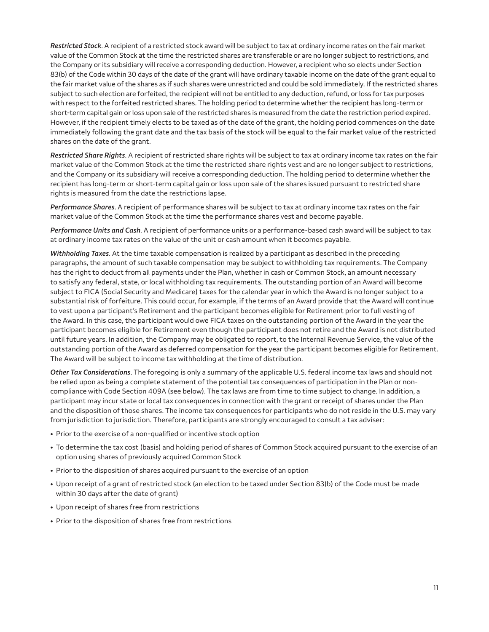<span id="page-10-0"></span>*Restricted Stock*. A recipient of a restricted stock award will be subject to tax at ordinary income rates on the fair market value of the Common Stock at the time the restricted shares are transferable or are no longer subject to restrictions, and the Company or its subsidiary will receive a corresponding deduction. However, a recipient who so elects under Section 83(b) of the Code within 30 days of the date of the grant will have ordinary taxable income on the date of the grant equal to the fair market value of the shares as if such shares were unrestricted and could be sold immediately. If the restricted shares subject to such election are forfeited, the recipient will not be entitled to any deduction, refund, or loss for tax purposes with respect to the forfeited restricted shares. The holding period to determine whether the recipient has long-term or short-term capital gain or loss upon sale of the restricted shares is measured from the date the restriction period expired. However, if the recipient timely elects to be taxed as of the date of the grant, the holding period commences on the date immediately following the grant date and the tax basis of the stock will be equal to the fair market value of the restricted shares on the date of the grant.

*Restricted Share Rights*. A recipient of restricted share rights will be subject to tax at ordinary income tax rates on the fair market value of the Common Stock at the time the restricted share rights vest and are no longer subject to restrictions, and the Company or its subsidiary will receive a corresponding deduction. The holding period to determine whether the recipient has long-term or short-term capital gain or loss upon sale of the shares issued pursuant to restricted share rights is measured from the date the restrictions lapse.

*Performance Shares*. A recipient of performance shares will be subject to tax at ordinary income tax rates on the fair market value of the Common Stock at the time the performance shares vest and become payable.

*Performance Units and Cash*. A recipient of performance units or a performance-based cash award will be subject to tax at ordinary income tax rates on the value of the unit or cash amount when it becomes payable.

*Withholding Taxes*. At the time taxable compensation is realized by a participant as described in the preceding paragraphs, the amount of such taxable compensation may be subject to withholding tax requirements. The Company has the right to deduct from all payments under the Plan, whether in cash or Common Stock, an amount necessary to satisfy any federal, state, or local withholding tax requirements. The outstanding portion of an Award will become subject to FICA (Social Security and Medicare) taxes for the calendar year in which the Award is no longer subject to a substantial risk of forfeiture. This could occur, for example, if the terms of an Award provide that the Award will continue to vest upon a participant's Retirement and the participant becomes eligible for Retirement prior to full vesting of the Award. In this case, the participant would owe FICA taxes on the outstanding portion of the Award in the year the participant becomes eligible for Retirement even though the participant does not retire and the Award is not distributed until future years. In addition, the Company may be obligated to report, to the Internal Revenue Service, the value of the outstanding portion of the Award as deferred compensation for the year the participant becomes eligible for Retirement. The Award will be subject to income tax withholding at the time of distribution.

*Other Tax Considerations*. The foregoing is only a summary of the applicable U.S. federal income tax laws and should not be relied upon as being a complete statement of the potential tax consequences of participation in the Plan or noncompliance with Code Section 409A (see below). The tax laws are from time to time subject to change. In addition, a participant may incur state or local tax consequences in connection with the grant or receipt of shares under the Plan and the disposition of those shares. The income tax consequences for participants who do not reside in the U.S. may vary from jurisdiction to jurisdiction. Therefore, participants are strongly encouraged to consult a tax adviser:

- Prior to the exercise of a non-qualified or incentive stock option
- To determine the tax cost (basis) and holding period of shares of Common Stock acquired pursuant to the exercise of an option using shares of previously acquired Common Stock
- Prior to the disposition of shares acquired pursuant to the exercise of an option
- Upon receipt of a grant of restricted stock (an election to be taxed under Section 83(b) of the Code must be made within 30 days after the date of grant)
- Upon receipt of shares free from restrictions
- Prior to the disposition of shares free from restrictions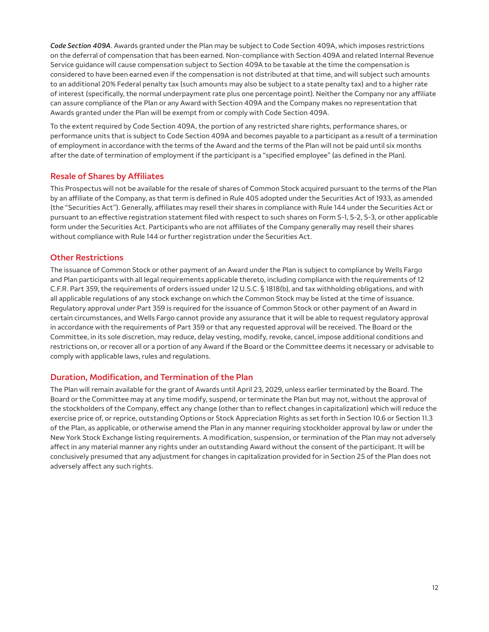<span id="page-11-0"></span>*Code Section 409A*. Awards granted under the Plan may be subject to Code Section 409A, which imposes restrictions on the deferral of compensation that has been earned. Non-compliance with Section 409A and related Internal Revenue Service guidance will cause compensation subject to Section 409A to be taxable at the time the compensation is considered to have been earned even if the compensation is not distributed at that time, and will subject such amounts to an additional 20% Federal penalty tax (such amounts may also be subject to a state penalty tax) and to a higher rate of interest (specifically, the normal underpayment rate plus one percentage point). Neither the Company nor any affiliate can assure compliance of the Plan or any Award with Section 409A and the Company makes no representation that Awards granted under the Plan will be exempt from or comply with Code Section 409A.

To the extent required by Code Section 409A, the portion of any restricted share rights, performance shares, or performance units that is subject to Code Section 409A and becomes payable to a participant as a result of a termination of employment in accordance with the terms of the Award and the terms of the Plan will not be paid until six months after the date of termination of employment if the participant is a "specified employee" (as defined in the Plan).

#### **Resale of Shares by Affiliates**

This Prospectus will not be available for the resale of shares of Common Stock acquired pursuant to the terms of the Plan by an affiliate of the Company, as that term is defined in Rule 405 adopted under the Securities Act of 1933, as amended (the "Securities Act"). Generally, affiliates may resell their shares in compliance with Rule 144 under the Securities Act or pursuant to an effective registration statement filed with respect to such shares on Form S-1, S-2, S-3, or other applicable form under the Securities Act. Participants who are not affiliates of the Company generally may resell their shares without compliance with Rule 144 or further registration under the Securities Act.

#### **Other Restrictions**

The issuance of Common Stock or other payment of an Award under the Plan is subject to compliance by Wells Fargo and Plan participants with all legal requirements applicable thereto, including compliance with the requirements of 12 C.F.R. Part 359, the requirements of orders issued under 12 U.S.C. § 1818(b), and tax withholding obligations, and with all applicable regulations of any stock exchange on which the Common Stock may be listed at the time of issuance. Regulatory approval under Part 359 is required for the issuance of Common Stock or other payment of an Award in certain circumstances, and Wells Fargo cannot provide any assurance that it will be able to request regulatory approval in accordance with the requirements of Part 359 or that any requested approval will be received. The Board or the Committee, in its sole discretion, may reduce, delay vesting, modify, revoke, cancel, impose additional conditions and restrictions on, or recover all or a portion of any Award if the Board or the Committee deems it necessary or advisable to comply with applicable laws, rules and regulations.

# **Duration, Modification, and Termination of the Plan**

The Plan will remain available for the grant of Awards until April 23, 2029, unless earlier terminated by the Board. The Board or the Committee may at any time modify, suspend, or terminate the Plan but may not, without the approval of the stockholders of the Company, effect any change (other than to reflect changes in capitalization) which will reduce the exercise price of, or reprice, outstanding Options or Stock Appreciation Rights as set forth in Section 10.6 or Section 11.3 of the Plan, as applicable, or otherwise amend the Plan in any manner requiring stockholder approval by law or under the New York Stock Exchange listing requirements. A modification, suspension, or termination of the Plan may not adversely affect in any material manner any rights under an outstanding Award without the consent of the participant. It will be conclusively presumed that any adjustment for changes in capitalization provided for in Section 25 of the Plan does not adversely affect any such rights.